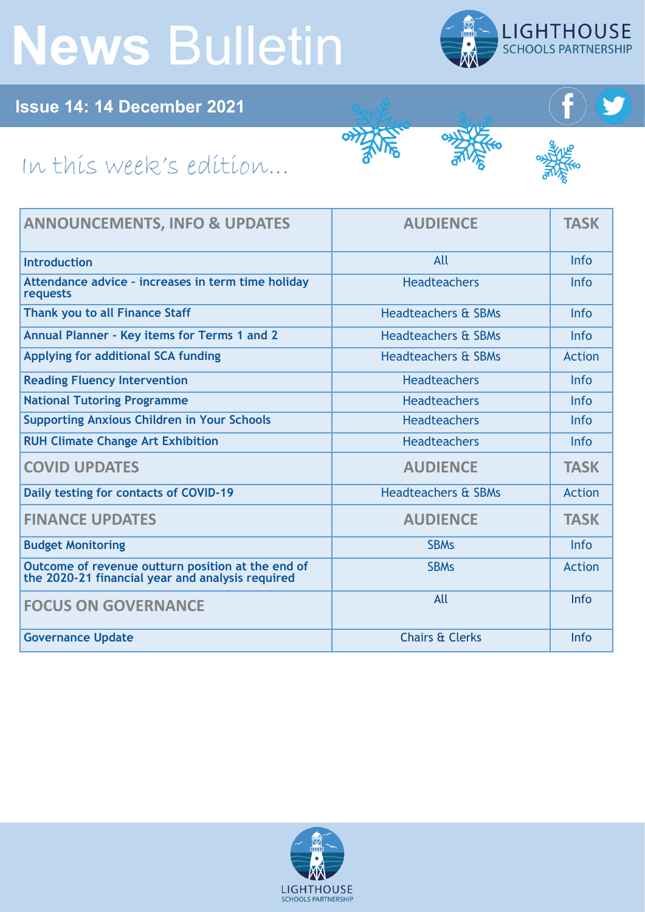## **News** Bulletin



**Issue 14: 14 December 2021**

## In this week's edition...

| <b>ANNOUNCEMENTS, INFO &amp; UPDATES</b>                                                              | <b>AUDIENCE</b>                | <b>TASK</b>   |
|-------------------------------------------------------------------------------------------------------|--------------------------------|---------------|
| <b>Introduction</b>                                                                                   | All                            | <b>Info</b>   |
| Attendance advice - increases in term time holiday<br>requests                                        | <b>Headteachers</b>            | <b>Info</b>   |
| Thank you to all Finance Staff                                                                        | <b>Headteachers &amp; SBMs</b> | <b>Info</b>   |
| Annual Planner - Key items for Terms 1 and 2                                                          | <b>Headteachers &amp; SBMs</b> | <b>Info</b>   |
| Applying for additional SCA funding                                                                   | <b>Headteachers &amp; SBMs</b> | <b>Action</b> |
| <b>Reading Fluency Intervention</b>                                                                   | <b>Headteachers</b>            | <b>Info</b>   |
| <b>National Tutoring Programme</b>                                                                    | <b>Headteachers</b>            | Info          |
| <b>Supporting Anxious Children in Your Schools</b>                                                    | <b>Headteachers</b>            | <b>Info</b>   |
| <b>RUH Climate Change Art Exhibition</b>                                                              | <b>Headteachers</b>            | <b>Info</b>   |
| <b>COVID UPDATES</b>                                                                                  | <b>AUDIENCE</b>                | <b>TASK</b>   |
| Daily testing for contacts of COVID-19                                                                | <b>Headteachers &amp; SBMs</b> | <b>Action</b> |
| <b>FINANCE UPDATES</b>                                                                                | <b>AUDIENCE</b>                | <b>TASK</b>   |
| <b>Budget Monitoring</b>                                                                              | <b>SBMs</b>                    | <b>Info</b>   |
| Outcome of revenue outturn position at the end of<br>the 2020-21 financial year and analysis required | <b>SBMs</b>                    | <b>Action</b> |
| <b>FOCUS ON GOVERNANCE</b>                                                                            | All                            | Info          |
| <b>Governance Update</b>                                                                              | <b>Chairs &amp; Clerks</b>     | Info          |

जेंगें

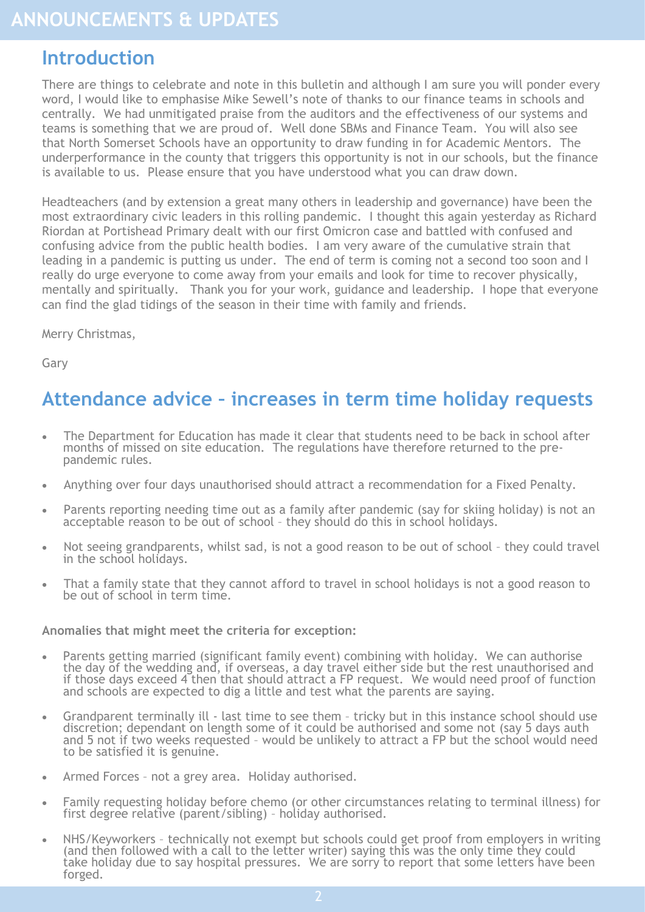## <span id="page-1-0"></span>**Introduction**

There are things to celebrate and note in this bulletin and although I am sure you will ponder every word, I would like to emphasise Mike Sewell's note of thanks to our finance teams in schools and centrally. We had unmitigated praise from the auditors and the effectiveness of our systems and teams is something that we are proud of. Well done SBMs and Finance Team. You will also see that North Somerset Schools have an opportunity to draw funding in for Academic Mentors. The underperformance in the county that triggers this opportunity is not in our schools, but the finance is available to us. Please ensure that you have understood what you can draw down.

Headteachers (and by extension a great many others in leadership and governance) have been the most extraordinary civic leaders in this rolling pandemic. I thought this again yesterday as Richard Riordan at Portishead Primary dealt with our first Omicron case and battled with confused and confusing advice from the public health bodies. I am very aware of the cumulative strain that leading in a pandemic is putting us under. The end of term is coming not a second too soon and I really do urge everyone to come away from your emails and look for time to recover physically, mentally and spiritually. Thank you for your work, guidance and leadership. I hope that everyone can find the glad tidings of the season in their time with family and friends.

Merry Christmas,

Gary

## **Attendance advice – increases in term time holiday requests**

- The Department for Education has made it clear that students need to be back in school after months of missed on site education. The regulations have therefore returned to the prepandemic rules.
- Anything over four days unauthorised should attract a recommendation for a Fixed Penalty.
- Parents reporting needing time out as a family after pandemic (say for skiing holiday) is not an acceptable reason to be out of school - they should do this in school holidays.
- Not seeing grandparents, whilst sad, is not a good reason to be out of school they could travel in the school holidays.
- That a family state that they cannot afford to travel in school holidays is not a good reason to be out of school in term time.

#### **Anomalies that might meet the criteria for exception:**

- Parents getting married (significant family event) combining with holiday. We can authorise the day of the wedding and, if overseas, a day travel either side but the rest unauthorised and if those days exceed 4 then that should attract a FP request. We would need proof of function and schools are expected to dig a little and test what the parents are saying.
- Grandparent terminally ill last time to see them tricky but in this instance school should use discretion; dependant on length some of it could be authorised and some not (say 5 days auth and 5 not if two weeks requested - would be unlikely to attract a FP but the school would need to be satisfied it is genuine.
- Armed Forces not a grey area. Holiday authorised.
- Family requesting holiday before chemo (or other circumstances relating to terminal illness) for first degree relative (parent/sibling) – holiday authorised.
- NHS/Keyworkers technically not exempt but schools could get proof from employers in writing (and then followed with a call to the letter writer) saying this was the only time they could take holiday due to say hospital pressures. We are sorry to report that some letters have been forged.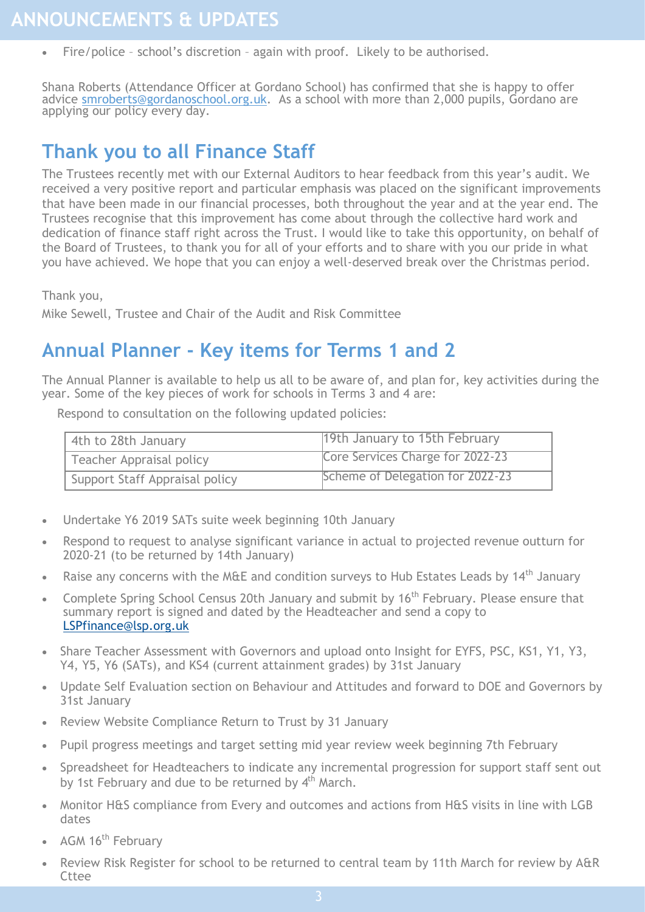<span id="page-2-0"></span>Fire/police - school's discretion - again with proof. Likely to be authorised.

Shana Roberts (Attendance Officer at Gordano School) has confirmed that she is happy to offer advice [smroberts@gordanoschool.org.uk.](mailto:smroberts@gordanoschool.org.uk) As a school with more than 2,000 pupils, Gordano are applying our policy every day.

## **Thank you to all Finance Staff**

The Trustees recently met with our External Auditors to hear feedback from this year's audit. We received a very positive report and particular emphasis was placed on the significant improvements that have been made in our financial processes, both throughout the year and at the year end. The Trustees recognise that this improvement has come about through the collective hard work and dedication of finance staff right across the Trust. I would like to take this opportunity, on behalf of the Board of Trustees, to thank you for all of your efforts and to share with you our pride in what you have achieved. We hope that you can enjoy a well-deserved break over the Christmas period.

Thank you,

Mike Sewell, Trustee and Chair of the Audit and Risk Committee

## **Annual Planner - Key items for Terms 1 and 2**

The Annual Planner is available to help us all to be aware of, and plan for, key activities during the year. Some of the key pieces of work for schools in Terms 3 and 4 are:

Respond to consultation on the following updated policies:

| 4th to 28th January            | 19th January to 15th February    |
|--------------------------------|----------------------------------|
| Teacher Appraisal policy       | Core Services Charge for 2022-23 |
| Support Staff Appraisal policy | Scheme of Delegation for 2022-23 |

- Undertake Y6 2019 SATs suite week beginning 10th January
- Respond to request to analyse significant variance in actual to projected revenue outturn for 2020-21 (to be returned by 14th January)
- Raise any concerns with the M&E and condition surveys to Hub Estates Leads by 14<sup>th</sup> January
- Complete Spring School Census 20th January and submit by 16<sup>th</sup> February. Please ensure that summary report is signed and dated by the Headteacher and send a copy to [LSPfinance@lsp.org.uk](mailto:LSPfinance@lsp.org.uk)
- Share Teacher Assessment with Governors and upload onto Insight for EYFS, PSC, KS1, Y1, Y3, Y4, Y5, Y6 (SATs), and KS4 (current attainment grades) by 31st January
- Update Self Evaluation section on Behaviour and Attitudes and forward to DOE and Governors by 31st January
- Review Website Compliance Return to Trust by 31 January
- Pupil progress meetings and target setting mid year review week beginning 7th February
- Spreadsheet for Headteachers to indicate any incremental progression for support staff sent out by 1st February and due to be returned by  $4<sup>th</sup>$  March.
- Monitor H&S compliance from Every and outcomes and actions from H&S visits in line with LGB dates
- AGM 16<sup>th</sup> February
- Review Risk Register for school to be returned to central team by 11th March for review by A&R **Cttee**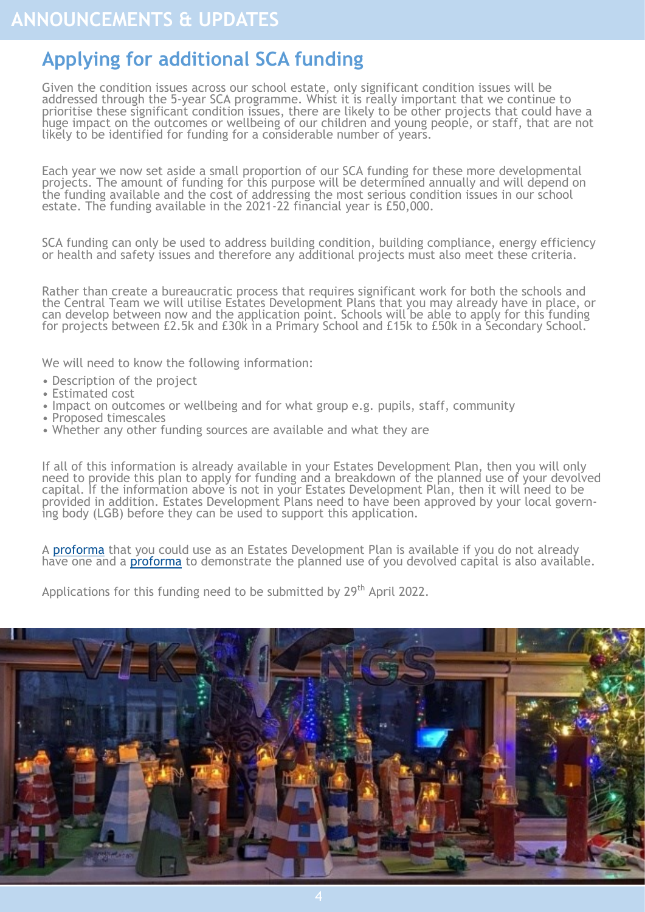## <span id="page-3-0"></span>**Applying for additional SCA funding**

Given the condition issues across our school estate, only significant condition issues will be addressed through the 5-year SCA programme. Whist it is really important that we continue to prioritise these significant condition issues, there are likely to be other projects that could have a huge impact on the outcomes or wellbeing of our children and young people, or staff, that are not likely to be identified for funding for a considerable number of years.

Each year we now set aside a small proportion of our SCA funding for these more developmental projects. The amount of funding for this purpose will be determined annually and will depend on the funding available and the cost of addressing the most serious condition issues in our school estate. The funding available in the 2021-22 financial year is £50,000.

SCA funding can only be used to address building condition, building compliance, energy efficiency or health and safety issues and therefore any additional projects must also meet these criteria.

Rather than create a bureaucratic process that requires significant work for both the schools and the Central Team we will utilise Estates Development Plans that you may already have in place, or can develop between now and the application point. Schools will be able to apply for this funding for projects between £2.5k and £30k in a Primary School and £15k to £50k in a Secondary School.

We will need to know the following information:

- Description of the project
- Estimated cost
- Impact on outcomes or wellbeing and for what group e.g. pupils, staff, community
- Proposed timescales
- Whether any other funding sources are available and what they are

If all of this information is already available in your Estates Development Plan, then you will only need to provide this plan to apply for funding and a breakdown of the planned use of your devolved capital. If the information above is not in your Estates Development Plan, then it will need to be provided in addition. Estates Development Plans need to have been approved by your local governing body (LGB) before they can be used to support this application.

A [proforma](https://foldr.lsp.org.uk/public/P0V9W) that you could use as an Estates Development Plan is available if you do not already have one and a **proforma** to demonstrate the planned use of you devolved capital is also available.

Applications for this funding need to be submitted by 29<sup>th</sup> April 2022.

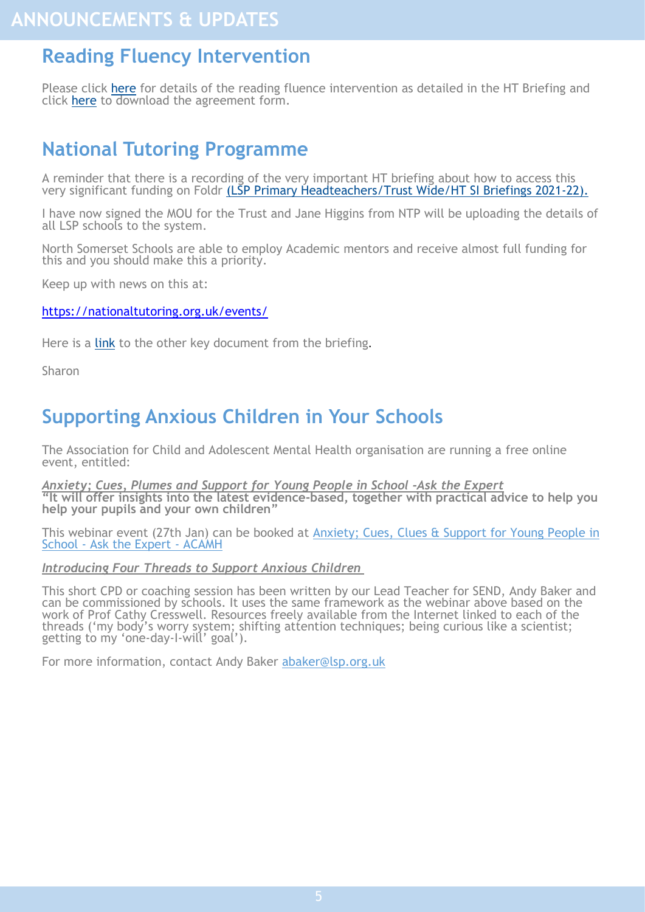## <span id="page-4-0"></span>**Reading Fluency Intervention**

Please click [here](https://foldr.lsp.org.uk/public/W609W) for details of the reading fluence intervention as detailed in the HT Briefing and click [here](https://foldr.lsp.org.uk/public/PK80W) to download the agreement form.

## **National Tutoring Programme**

A reminder that there is a recording of the very important HT briefing about how to access this very significant funding on Foldr [\(LSP Primary Headteachers/Trust Wide/HT SI Briefings 2021](https://foldr.lsp.org.uk/public/W3JGN)-22).

I have now signed the MOU for the Trust and Jane Higgins from NTP will be uploading the details of all LSP schools to the system.

North Somerset Schools are able to employ Academic mentors and receive almost full funding for this and you should make this a priority.

Keep up with news on this at:

#### <https://nationaltutoring.org.uk/events/>

Here is a [link](https://foldr.lsp.org.uk/public/WLZ3N) to the other key document from the briefing.

Sharon

## **Supporting Anxious Children in Your Schools**

The Association for Child and Adolescent Mental Health organisation are running a free online event, entitled:

*Anxiety; Cues, Plumes and Support for Young People in School -Ask the Expert* **"It will offer insights into the latest evidence-based, together with practical advice to help you help your pupils and your own children"**

This webinar event (27th Jan) can be booked at [Anxiety; Cues, Clues & Support for Young People in](https://www.acamh.org/event/school-anxiety/)  School - [Ask the Expert](https://www.acamh.org/event/school-anxiety/) - ACAMH

#### *Introducing Four Threads to Support Anxious Children*

This short CPD or coaching session has been written by our Lead Teacher for SEND, Andy Baker and can be commissioned by schools. It uses the same framework as the webinar above based on the work of Prof Cathy Cresswell. Resources freely available from the Internet linked to each of the threads ('my body's worry system; shifting attention techniques; being curious like a scientist; getting to my 'one-day-I-will' goal').

For more information, contact Andy Baker abaker@lsp.org.uk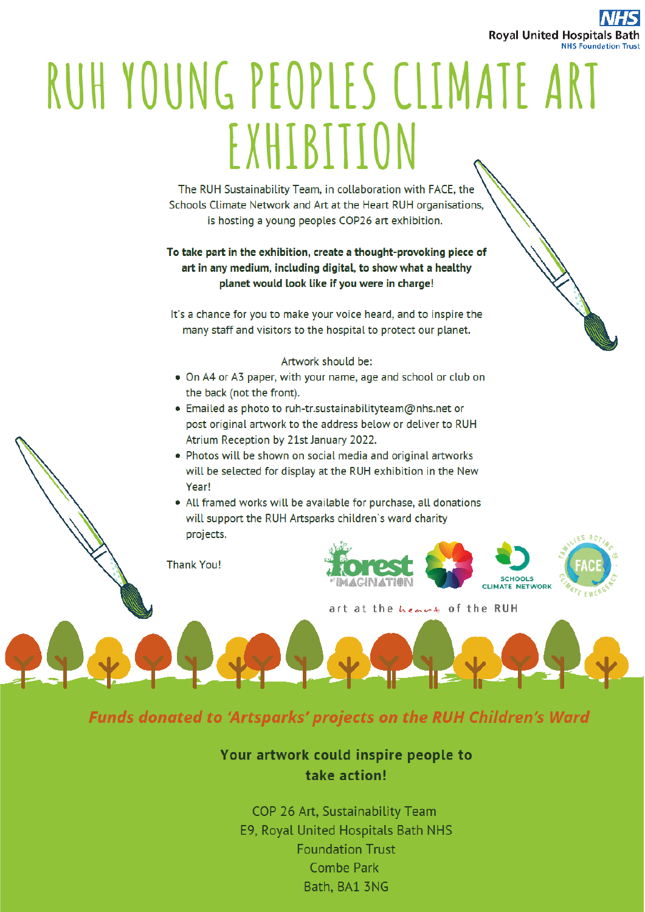

# <span id="page-5-0"></span>RUH YOUNG PEOPLES CLIMATE ART EXHIBITION

The RUH Sustainability Team, in collaboration with FACE, the Schools Climate Network and Art at the Heart RUH organisations, is hosting a young peoples COP26 art exhibition.

#### To take part in the exhibition, create a thought-provoking piece of art in any medium, including digital, to show what a healthy planet would look like if you were in charge!

It's a chance for you to make your voice heard, and to inspire the many staff and visitors to the hospital to protect our planet.

#### Artwork should be:

- On A4 or A3 paper, with your name, age and school or club on the back (not the front).
- Emailed as photo to ruh-tr.sustainabilityteam@nhs.net or post original artwork to the address below or deliver to RUH Atrium Reception by 21st January 2022.
- Photos will be shown on social media and original artworks will be selected for display at the RUH exhibition in the New Year!
- All framed works will be available for purchase, all donations will support the RUH Artsparks children's ward charity projects.

**Thank You!** 



art at the heave of the RUH

### **Funds donated to 'Artsparks' projects on the RUH Children's Ward**

#### Your artwork could inspire people to take action!

COP 26 Art, Sustainability Team E9, Royal United Hospitals Bath NHS **Foundation Trust Combe Park** Bath, BA1 3NG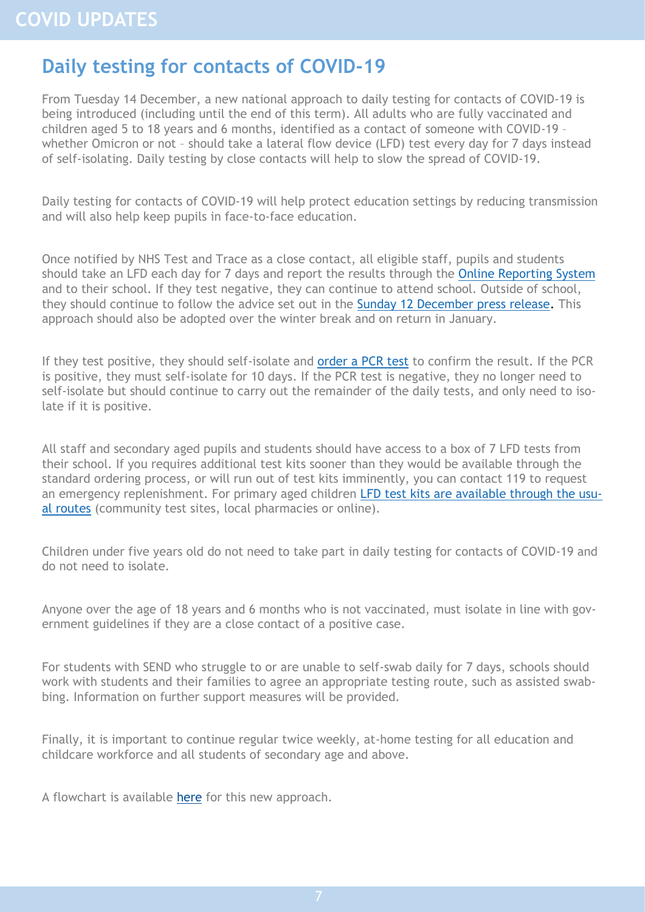## <span id="page-6-0"></span>**Daily testing for contacts of COVID-19**

From Tuesday 14 December, a new national approach to daily testing for contacts of COVID-19 is being introduced (including until the end of this term). All adults who are fully vaccinated and children aged 5 to 18 years and 6 months, identified as a contact of someone with COVID-19 – whether Omicron or not – should take a lateral flow device (LFD) test every day for 7 days instead of self-isolating. Daily testing by close contacts will help to slow the spread of COVID-19.

Daily testing for contacts of COVID-19 will help protect education settings by reducing transmission and will also help keep pupils in face-to-face education.

Once notified by NHS Test and Trace as a close contact, all eligible staff, pupils and students should take an LFD each day for 7 days and report the results through the [Online Reporting System](https://www.gov.uk/report-covid19-result?utm_source=13%20December%202021%20C19&utm_medium=Daily%20Email%20C19&utm_campaign=DfE%20C19) and to their school. If they test negative, they can continue to attend school. Outside of school, they should continue to follow the advice set out in the [Sunday 12 December press release.](https://www.gov.uk/government/news/daily-rapid-testing-for-covid-19-contacts-launches-this-week?utm_source=13%20December%202021%20C19&utm_medium=Daily%20Email%20C19&utm_campaign=DfE%20C19) This approach should also be adopted over the winter break and on return in January.

If they test positive, they should self-isolate and [order a PCR test](https://www.gov.uk/get-coronavirus-test?utm_source=13%20December%202021%20C19&utm_medium=Daily%20Email%20C19&utm_campaign=DfE%20C19) to confirm the result. If the PCR is positive, they must self-isolate for 10 days. If the PCR test is negative, they no longer need to self-isolate but should continue to carry out the remainder of the daily tests, and only need to isolate if it is positive.

All staff and secondary aged pupils and students should have access to a box of 7 LFD tests from their school. If you requires additional test kits sooner than they would be available through the standard ordering process, or will run out of test kits imminently, you can contact 119 to request an emergency replenishment. For primary aged children [LFD test kits are available through the usu](https://www.gov.uk/order-coronavirus-rapid-lateral-flow-tests?utm_source=13%20December%202021%20C19&utm_medium=Daily%20Email%20C19&utm_campaign=DfE%20C19)[al routes](https://www.gov.uk/order-coronavirus-rapid-lateral-flow-tests?utm_source=13%20December%202021%20C19&utm_medium=Daily%20Email%20C19&utm_campaign=DfE%20C19) (community test sites, local pharmacies or online).

Children under five years old do not need to take part in daily testing for contacts of COVID-19 and do not need to isolate.

Anyone over the age of 18 years and 6 months who is not vaccinated, must isolate in line with government guidelines if they are a close contact of a positive case.

For students with SEND who struggle to or are unable to self-swab daily for 7 days, schools should work with students and their families to agree an appropriate testing route, such as assisted swabbing. Information on further support measures will be provided.

Finally, it is important to continue regular twice weekly, at-home testing for all education and childcare workforce and all students of secondary age and above.

A flowchart is available [here](https://foldr.lsp.org.uk/public/W9G9N) for this new approach.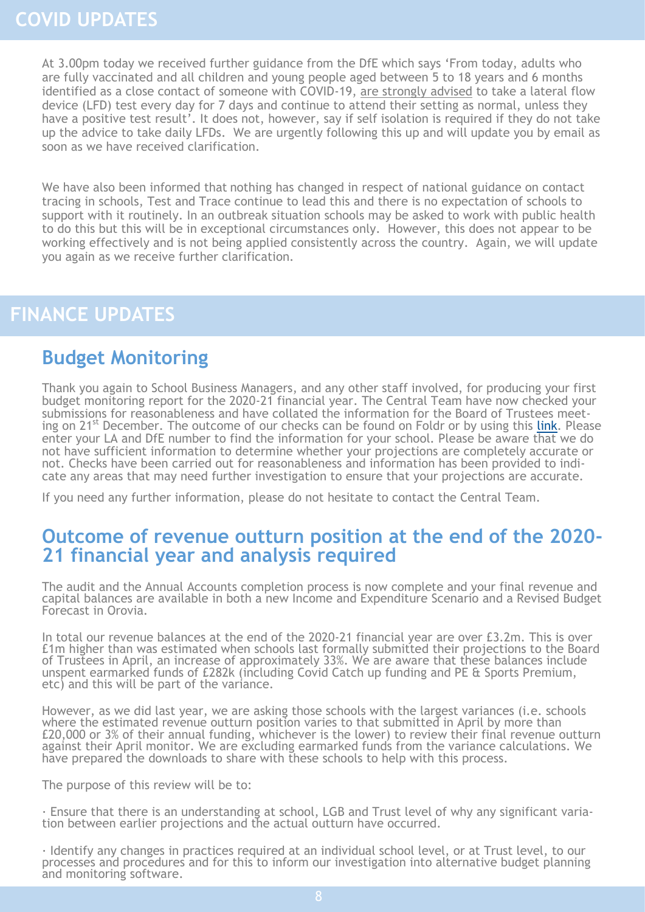<span id="page-7-0"></span>At 3.00pm today we received further guidance from the DfE which says 'From today, adults who are fully vaccinated and all children and young people aged between 5 to 18 years and 6 months identified as a close contact of someone with COVID-19, are strongly advised to take a lateral flow device (LFD) test every day for 7 days and continue to attend their setting as normal, unless they have a positive test result'. It does not, however, say if self isolation is required if they do not take up the advice to take daily LFDs. We are urgently following this up and will update you by email as soon as we have received clarification.

We have also been informed that nothing has changed in respect of national guidance on contact tracing in schools, Test and Trace continue to lead this and there is no expectation of schools to support with it routinely. In an outbreak situation schools may be asked to work with public health to do this but this will be in exceptional circumstances only. However, this does not appear to be working effectively and is not being applied consistently across the country. Again, we will update you again as we receive further clarification.

## **FINANCE UPDATES**

## **Budget Monitoring**

Thank you again to School Business Managers, and any other staff involved, for producing your first budget monitoring report for the 2020-21 financial year. The Central Team have now checked your submissions for reasonableness and have collated the information for the Board of Trustees meeting on 21<sup>st</sup> December. The outcome of our checks can be found on Foldr or by using this [link.](https://foldr.lsp.org.uk/public/PV7BW) Please enter your LA and DfE number to find the information for your school. Please be aware that we do not have sufficient information to determine whether your projections are completely accurate or not. Checks have been carried out for reasonableness and information has been provided to indicate any areas that may need further investigation to ensure that your projections are accurate.

If you need any further information, please do not hesitate to contact the Central Team.

### **Outcome of revenue outturn position at the end of the 2020- 21 financial year and analysis required**

The audit and the Annual Accounts completion process is now complete and your final revenue and capital balances are available in both a new Income and Expenditure Scenario and a Revised Budget Forecast in Orovia.

In total our revenue balances at the end of the 2020-21 financial year are over £3.2m. This is over £1m higher than was estimated when schools last formally submitted their projections to the Board of Trustees in April, an increase of approximately 33%. We are aware that these balances include unspent earmarked funds of £282k (including Covid Catch up funding and PE & Sports Premium, etc) and this will be part of the variance.

However, as we did last year, we are asking those schools with the largest variances (i.e. schools where the estimated revenue outturn position varies to that submitted in April by more than £20,000 or 3% of their annual funding, whichever is the lower) to review their final revenue outturn against their April monitor. We are excluding earmarked funds from the variance calculations. We have prepared the downloads to share with these schools to help with this process.

The purpose of this review will be to:

· Ensure that there is an understanding at school, LGB and Trust level of why any significant variation between earlier projections and the actual outturn have occurred.

· Identify any changes in practices required at an individual school level, or at Trust level, to our processes and procedures and for this to inform our investigation into alternative budget planning and monitoring software.